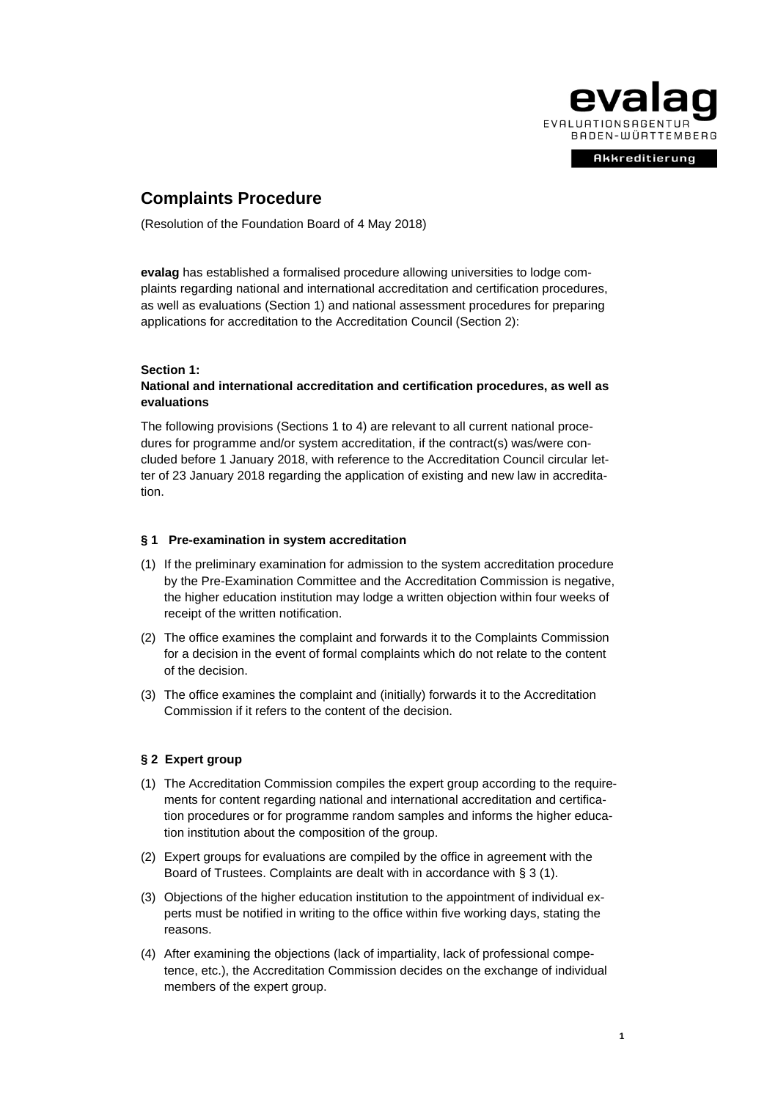

**Akkreditierung** 

# **Complaints Procedure**

(Resolution of the Foundation Board of 4 May 2018)

**evalag** has established a formalised procedure allowing universities to lodge complaints regarding national and international accreditation and certification procedures, as well as evaluations (Section 1) and national assessment procedures for preparing applications for accreditation to the Accreditation Council (Section 2):

#### **Section 1:**

## **National and international accreditation and certification procedures, as well as evaluations**

The following provisions (Sections 1 to 4) are relevant to all current national procedures for programme and/or system accreditation, if the contract(s) was/were concluded before 1 January 2018, with reference to the Accreditation Council circular letter of 23 January 2018 regarding the application of existing and new law in accreditation.

#### **§ 1 Pre-examination in system accreditation**

- (1) If the preliminary examination for admission to the system accreditation procedure by the Pre-Examination Committee and the Accreditation Commission is negative, the higher education institution may lodge a written objection within four weeks of receipt of the written notification.
- (2) The office examines the complaint and forwards it to the Complaints Commission for a decision in the event of formal complaints which do not relate to the content of the decision.
- (3) The office examines the complaint and (initially) forwards it to the Accreditation Commission if it refers to the content of the decision.

#### **§ 2 Expert group**

- (1) The Accreditation Commission compiles the expert group according to the requirements for content regarding national and international accreditation and certification procedures or for programme random samples and informs the higher education institution about the composition of the group.
- (2) Expert groups for evaluations are compiled by the office in agreement with the Board of Trustees. Complaints are dealt with in accordance with § 3 (1).
- (3) Objections of the higher education institution to the appointment of individual experts must be notified in writing to the office within five working days, stating the reasons.
- (4) After examining the objections (lack of impartiality, lack of professional competence, etc.), the Accreditation Commission decides on the exchange of individual members of the expert group.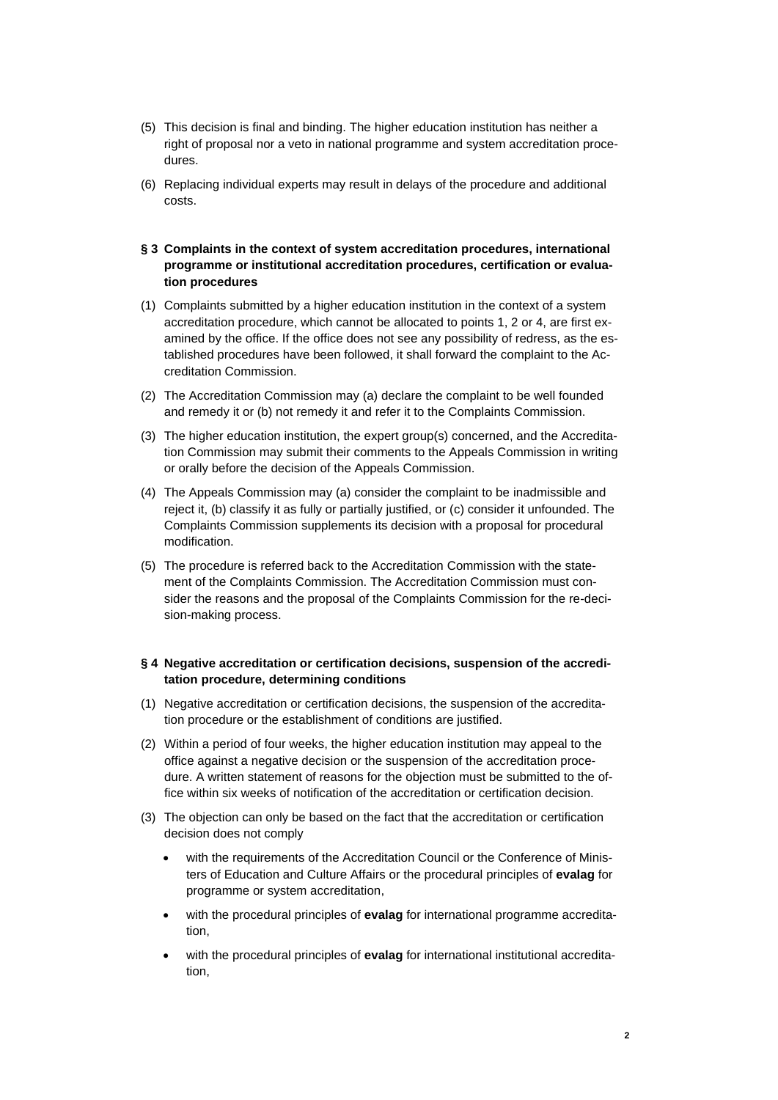- (5) This decision is final and binding. The higher education institution has neither a right of proposal nor a veto in national programme and system accreditation procedures.
- (6) Replacing individual experts may result in delays of the procedure and additional costs.
- **§ 3 Complaints in the context of system accreditation procedures, international programme or institutional accreditation procedures, certification or evaluation procedures**
- (1) Complaints submitted by a higher education institution in the context of a system accreditation procedure, which cannot be allocated to points 1, 2 or 4, are first examined by the office. If the office does not see any possibility of redress, as the established procedures have been followed, it shall forward the complaint to the Accreditation Commission.
- (2) The Accreditation Commission may (a) declare the complaint to be well founded and remedy it or (b) not remedy it and refer it to the Complaints Commission.
- (3) The higher education institution, the expert group(s) concerned, and the Accreditation Commission may submit their comments to the Appeals Commission in writing or orally before the decision of the Appeals Commission.
- (4) The Appeals Commission may (a) consider the complaint to be inadmissible and reject it, (b) classify it as fully or partially justified, or (c) consider it unfounded. The Complaints Commission supplements its decision with a proposal for procedural modification.
- (5) The procedure is referred back to the Accreditation Commission with the statement of the Complaints Commission. The Accreditation Commission must consider the reasons and the proposal of the Complaints Commission for the re-decision-making process.

# **§ 4 Negative accreditation or certification decisions, suspension of the accreditation procedure, determining conditions**

- (1) Negative accreditation or certification decisions, the suspension of the accreditation procedure or the establishment of conditions are justified.
- (2) Within a period of four weeks, the higher education institution may appeal to the office against a negative decision or the suspension of the accreditation procedure. A written statement of reasons for the objection must be submitted to the office within six weeks of notification of the accreditation or certification decision.
- (3) The objection can only be based on the fact that the accreditation or certification decision does not comply
	- with the requirements of the Accreditation Council or the Conference of Ministers of Education and Culture Affairs or the procedural principles of **evalag** for programme or system accreditation,
	- with the procedural principles of **evalag** for international programme accreditation,
	- with the procedural principles of **evalag** for international institutional accreditation,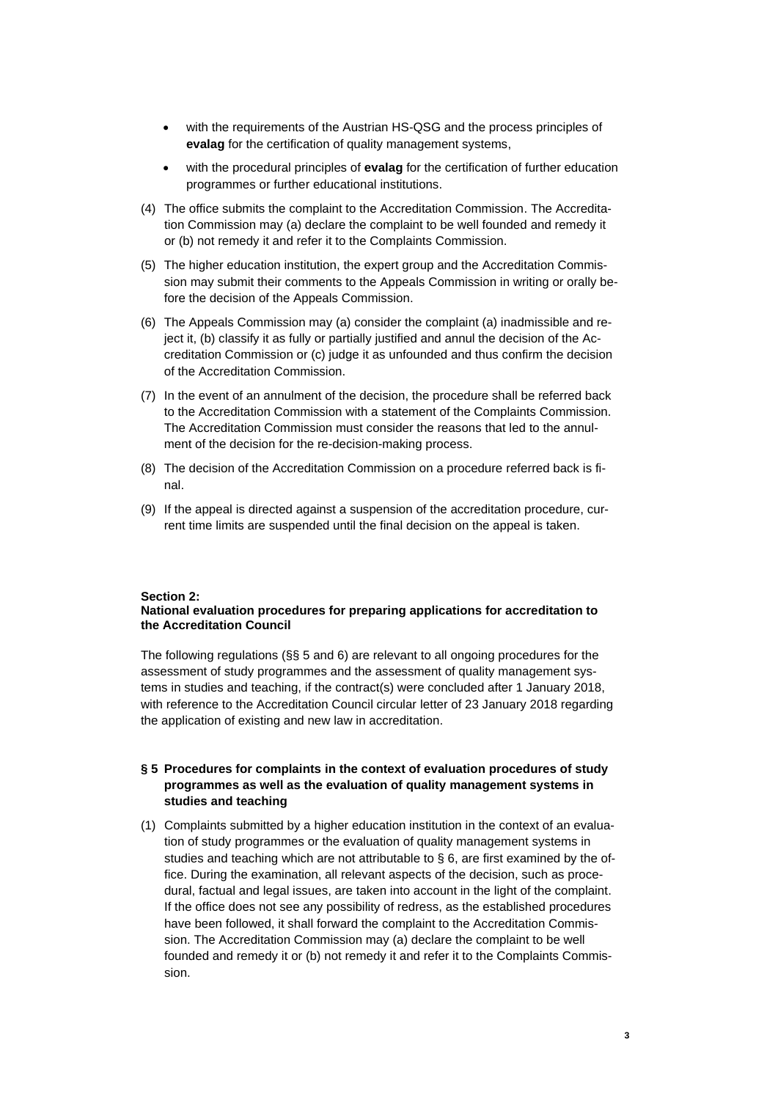- with the requirements of the Austrian HS-QSG and the process principles of **evalag** for the certification of quality management systems,
- with the procedural principles of **evalag** for the certification of further education programmes or further educational institutions.
- (4) The office submits the complaint to the Accreditation Commission. The Accreditation Commission may (a) declare the complaint to be well founded and remedy it or (b) not remedy it and refer it to the Complaints Commission.
- (5) The higher education institution, the expert group and the Accreditation Commission may submit their comments to the Appeals Commission in writing or orally before the decision of the Appeals Commission.
- (6) The Appeals Commission may (a) consider the complaint (a) inadmissible and reject it, (b) classify it as fully or partially justified and annul the decision of the Accreditation Commission or (c) judge it as unfounded and thus confirm the decision of the Accreditation Commission.
- (7) In the event of an annulment of the decision, the procedure shall be referred back to the Accreditation Commission with a statement of the Complaints Commission. The Accreditation Commission must consider the reasons that led to the annulment of the decision for the re-decision-making process.
- (8) The decision of the Accreditation Commission on a procedure referred back is final.
- (9) If the appeal is directed against a suspension of the accreditation procedure, current time limits are suspended until the final decision on the appeal is taken.

# **Section 2:**

#### **National evaluation procedures for preparing applications for accreditation to the Accreditation Council**

The following regulations (§§ 5 and 6) are relevant to all ongoing procedures for the assessment of study programmes and the assessment of quality management systems in studies and teaching, if the contract(s) were concluded after 1 January 2018, with reference to the Accreditation Council circular letter of 23 January 2018 regarding the application of existing and new law in accreditation.

# **§ 5 Procedures for complaints in the context of evaluation procedures of study programmes as well as the evaluation of quality management systems in studies and teaching**

(1) Complaints submitted by a higher education institution in the context of an evaluation of study programmes or the evaluation of quality management systems in studies and teaching which are not attributable to  $\S$  6, are first examined by the office. During the examination, all relevant aspects of the decision, such as procedural, factual and legal issues, are taken into account in the light of the complaint. If the office does not see any possibility of redress, as the established procedures have been followed, it shall forward the complaint to the Accreditation Commission. The Accreditation Commission may (a) declare the complaint to be well founded and remedy it or (b) not remedy it and refer it to the Complaints Commission.